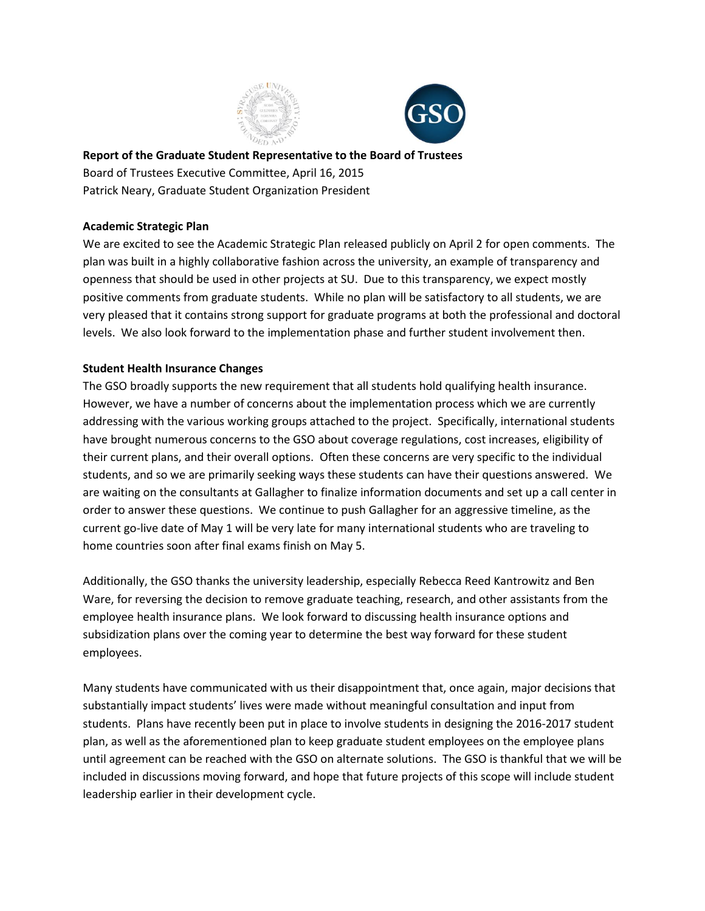



**Report of the Graduate Student Representative to the Board of Trustees** Board of Trustees Executive Committee, April 16, 2015 Patrick Neary, Graduate Student Organization President

## **Academic Strategic Plan**

We are excited to see the Academic Strategic Plan released publicly on April 2 for open comments. The plan was built in a highly collaborative fashion across the university, an example of transparency and openness that should be used in other projects at SU. Due to this transparency, we expect mostly positive comments from graduate students. While no plan will be satisfactory to all students, we are very pleased that it contains strong support for graduate programs at both the professional and doctoral levels. We also look forward to the implementation phase and further student involvement then.

## **Student Health Insurance Changes**

The GSO broadly supports the new requirement that all students hold qualifying health insurance. However, we have a number of concerns about the implementation process which we are currently addressing with the various working groups attached to the project. Specifically, international students have brought numerous concerns to the GSO about coverage regulations, cost increases, eligibility of their current plans, and their overall options. Often these concerns are very specific to the individual students, and so we are primarily seeking ways these students can have their questions answered. We are waiting on the consultants at Gallagher to finalize information documents and set up a call center in order to answer these questions. We continue to push Gallagher for an aggressive timeline, as the current go-live date of May 1 will be very late for many international students who are traveling to home countries soon after final exams finish on May 5.

Additionally, the GSO thanks the university leadership, especially Rebecca Reed Kantrowitz and Ben Ware, for reversing the decision to remove graduate teaching, research, and other assistants from the employee health insurance plans. We look forward to discussing health insurance options and subsidization plans over the coming year to determine the best way forward for these student employees.

Many students have communicated with us their disappointment that, once again, major decisions that substantially impact students' lives were made without meaningful consultation and input from students. Plans have recently been put in place to involve students in designing the 2016-2017 student plan, as well as the aforementioned plan to keep graduate student employees on the employee plans until agreement can be reached with the GSO on alternate solutions. The GSO is thankful that we will be included in discussions moving forward, and hope that future projects of this scope will include student leadership earlier in their development cycle.